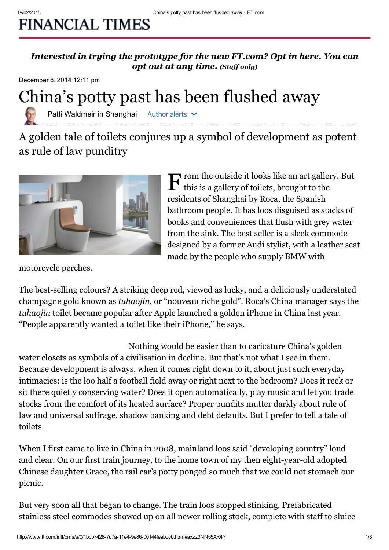## **FINANCIAL TIMES**

[Interested](http://next.ft.com/__opt-in#opted-via-button) in trying the prototype for the new FT.com? Opt in here. You can opt out at any time. (Staff only)

December 8, 2014 12:11 pm



Patti Waldmeir in Shanghai Author alerts  $\sim$ 

A golden tale of toilets conjures up a symbol of development as potent as rule of law punditry



 $\mathbf{F}$  rom the outside it looks like an art gallery. But this is a gallery of toilets, brought to the this is a gallery of toilets, brought to the residents of Shanghai by Roca, the Spanish bathroom people. It has loos disguised as stacks of books and conveniences that flush with grey water from the sink. The best seller is a sleek commode designed by a former Audi stylist, with a leather seat made by the people who supply BMW with

motorcycle perches.

The best-selling colours? A striking deep red, viewed as lucky, and a deliciously understated champagne gold known as tuhaojin, or "nouveau riche gold". Roca's China manager says the tuhaojin toilet became popular after Apple launched a golden iPhone in [China](http://www.ft.com/world/asia-pacific/china) last year. "People apparently wanted a toilet like their iPhone," he says.

Nothing would be easier than to caricature China's golden water closets as symbols of a civilisation in decline. But that's not what I see in them. Because development is always, when it comes right down to it, about just such everyday intimacies: is the loo half a football field away or right next to the bedroom? Does it reek or sit there quietly conserving water? Does it open automatically, play music and let you trade stocks from the comfort of its heated surface? Proper pundits mutter darkly about rule of law and [universal](http://blogs.ft.com/beyond-brics/2014/11/19/guest-post-chinas-rule-of-law-is-a-xi-jinping-power-grab/) suffrage, shadow banking and debt defaults. But I prefer to tell a tale of toilets.

When I first came to live in China in 2008, mainland loos said "developing country" loud and clear. On our first train journey, to the home town of my then eight-year-old adopted Chinese daughter Grace, the rail car's potty ponged so much that we could not stomach our picnic.

But very soon all that began to change. The train loos stopped stinking. Prefabricated stainless steel commodes showed up on all newer rolling stock, complete with staff to sluice